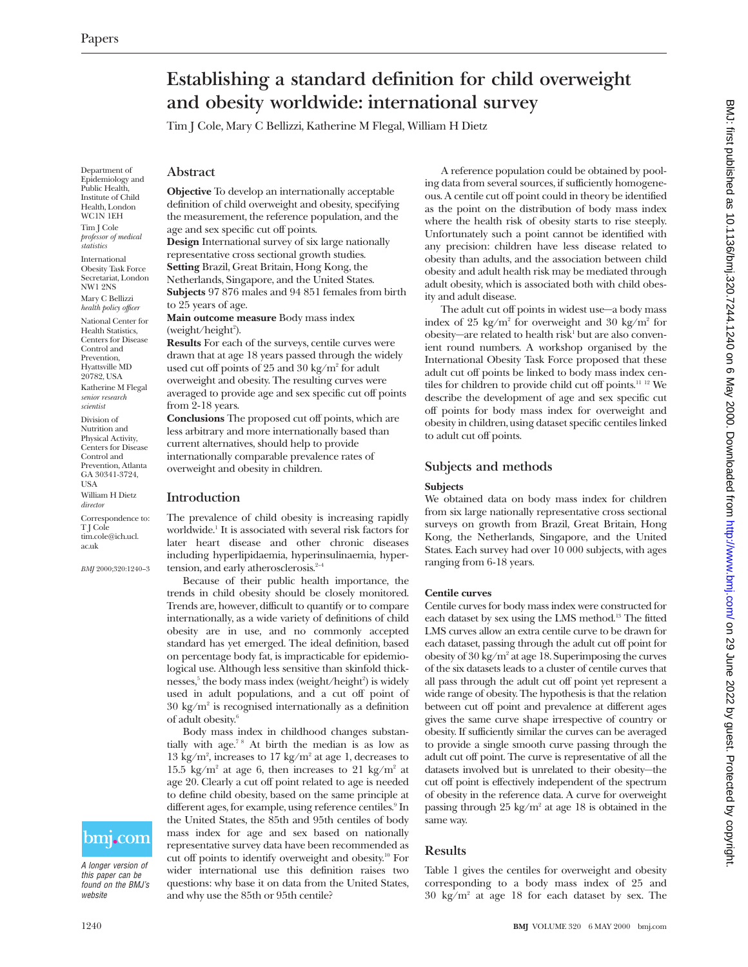# **Establishing a standard definition for child overweight and obesity worldwide: international survey**

Tim J Cole, Mary C Bellizzi, Katherine M Flegal, William H Dietz

Department of Epidemiology and Public Health, Institute of Child Health, London WC1N 1EH Tim J Cole *professor of medical statistics*

International Obesity Task Force Secretariat, London NW1 2NS Mary C Bellizzi

*health policy officer* National Center for Health Statistics, Centers for Disease Control and Prevention, Hyattsville MD 20782, USA

Katherine M Flegal *senior research scientist*

Division of Nutrition and Physical Activity, Centers for Disease Control and Prevention, Atlanta GA 30341-3724, USA William H Dietz *director*

Correspondence to: T J Cole tim.cole@ich.ucl. ac.uk

*BMJ* 2000;320:1240–3

# bmj.com

A longer version of this paper can be found on the BMJ's website

**Objective** To develop an internationally acceptable definition of child overweight and obesity, specifying the measurement, the reference population, and the age and sex specific cut off points.

**Design** International survey of six large nationally representative cross sectional growth studies. **Setting** Brazil, Great Britain, Hong Kong, the Netherlands, Singapore, and the United States. **Subjects** 97 876 males and 94 851 females from birth to 25 years of age.

**Main outcome measure** Body mass index (weight/height<sup>2</sup>).

**Results** For each of the surveys, centile curves were drawn that at age 18 years passed through the widely used cut off points of 25 and 30 kg/m<sup>2</sup> for adult overweight and obesity. The resulting curves were averaged to provide age and sex specific cut off points from 2-18 years.

**Conclusions** The proposed cut off points, which are less arbitrary and more internationally based than current alternatives, should help to provide internationally comparable prevalence rates of overweight and obesity in children.

## **Introduction**

The prevalence of child obesity is increasing rapidly worldwide.<sup>1</sup> It is associated with several risk factors for later heart disease and other chronic diseases including hyperlipidaemia, hyperinsulinaemia, hypertension, and early atherosclerosis.<sup>2-4</sup>

Because of their public health importance, the trends in child obesity should be closely monitored. Trends are, however, difficult to quantify or to compare internationally, as a wide variety of definitions of child obesity are in use, and no commonly accepted standard has yet emerged. The ideal definition, based on percentage body fat, is impracticable for epidemiological use. Although less sensitive than skinfold thicknesses, $5$  the body mass index (weight/height $^2$ ) is widely used in adult populations, and a cut off point of  $30 \text{ kg/m}^2$  is recognised internationally as a definition of adult obesity.6

Body mass index in childhood changes substantially with age.7 8 At birth the median is as low as 13 kg/m<sup>2</sup>, increases to 17 kg/m<sup>2</sup> at age 1, decreases to 15.5 kg/m<sup>2</sup> at age 6, then increases to 21 kg/m<sup>2</sup> at age 20. Clearly a cut off point related to age is needed to define child obesity, based on the same principle at different ages, for example, using reference centiles.<sup>9</sup> In the United States, the 85th and 95th centiles of body mass index for age and sex based on nationally representative survey data have been recommended as cut off points to identify overweight and obesity.10 For wider international use this definition raises two questions: why base it on data from the United States, and why use the 85th or 95th centile?

A reference population could be obtained by pooling data from several sources, if sufficiently homogeneous. A centile cut off point could in theory be identified as the point on the distribution of body mass index where the health risk of obesity starts to rise steeply. Unfortunately such a point cannot be identified with any precision: children have less disease related to obesity than adults, and the association between child obesity and adult health risk may be mediated through adult obesity, which is associated both with child obesity and adult disease.

The adult cut off points in widest use—a body mass index of 25 kg/m<sup>2</sup> for overweight and 30 kg/m<sup>2</sup> for obesity—are related to health risk<sup>1</sup> but are also convenient round numbers. A workshop organised by the International Obesity Task Force proposed that these adult cut off points be linked to body mass index centiles for children to provide child cut off points.<sup>11 12</sup> We describe the development of age and sex specific cut off points for body mass index for overweight and obesity in children, using dataset specific centiles linked to adult cut off points.

## **Subjects and methods**

#### **Subjects**

We obtained data on body mass index for children from six large nationally representative cross sectional surveys on growth from Brazil, Great Britain, Hong Kong, the Netherlands, Singapore, and the United States. Each survey had over 10 000 subjects, with ages ranging from 6-18 years.

#### **Centile curves**

Centile curves for body mass index were constructed for each dataset by sex using the LMS method.13 The fitted LMS curves allow an extra centile curve to be drawn for each dataset, passing through the adult cut off point for obesity of  $30 \text{ kg/m}^2$  at age 18. Superimposing the curves of the six datasets leads to a cluster of centile curves that all pass through the adult cut off point yet represent a wide range of obesity. The hypothesis is that the relation between cut off point and prevalence at different ages gives the same curve shape irrespective of country or obesity. If sufficiently similar the curves can be averaged to provide a single smooth curve passing through the adult cut off point. The curve is representative of all the datasets involved but is unrelated to their obesity—the cut off point is effectively independent of the spectrum of obesity in the reference data. A curve for overweight passing through  $25 \text{ kg/m}^2$  at age 18 is obtained in the same way.

## **Results**

Table 1 gives the centiles for overweight and obesity corresponding to a body mass index of 25 and  $30 \text{ kg/m}^2$  at age 18 for each dataset by sex. The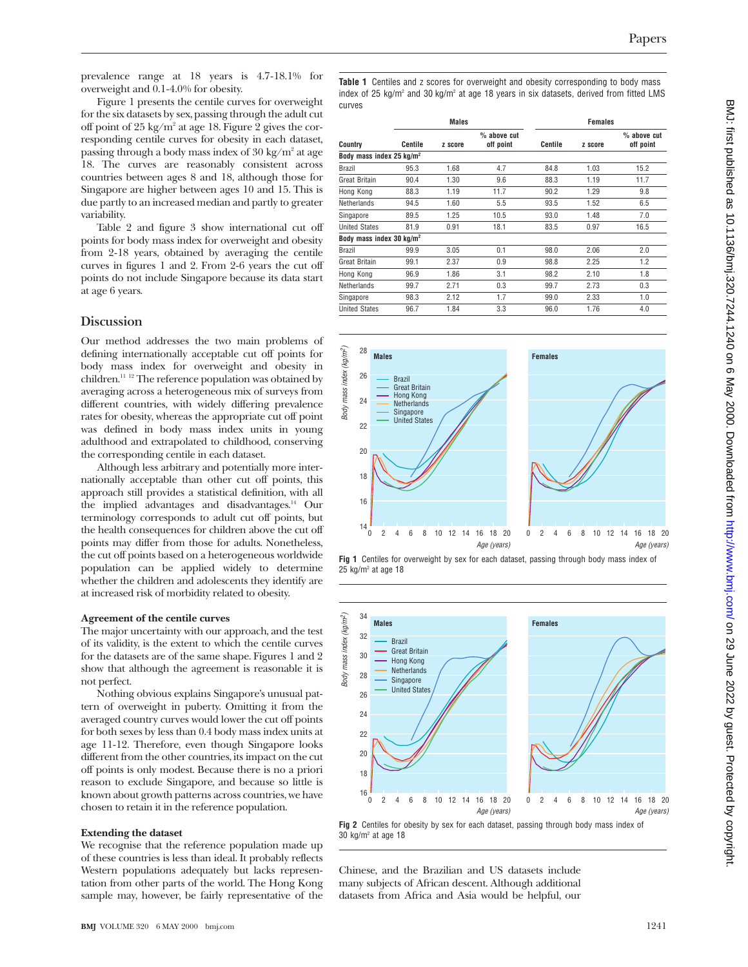prevalence range at 18 years is 4.7-18.1% for overweight and 0.1-4.0% for obesity.

Figure 1 presents the centile curves for overweight for the six datasets by sex, passing through the adult cut off point of 25 kg/m2 at age 18. Figure 2 gives the corresponding centile curves for obesity in each dataset, passing through a body mass index of  $30 \text{ kg/m}^2$  at age 18. The curves are reasonably consistent across countries between ages 8 and 18, although those for Singapore are higher between ages 10 and 15. This is due partly to an increased median and partly to greater variability.

Table 2 and figure 3 show international cut off points for body mass index for overweight and obesity from 2-18 years, obtained by averaging the centile curves in figures 1 and 2. From 2-6 years the cut off points do not include Singapore because its data start at age 6 years.

## **Discussion**

Our method addresses the two main problems of defining internationally acceptable cut off points for body mass index for overweight and obesity in children.11 12 The reference population was obtained by averaging across a heterogeneous mix of surveys from different countries, with widely differing prevalence rates for obesity, whereas the appropriate cut off point was defined in body mass index units in young adulthood and extrapolated to childhood, conserving the corresponding centile in each dataset.

Although less arbitrary and potentially more internationally acceptable than other cut off points, this approach still provides a statistical definition, with all the implied advantages and disadvantages.14 Our terminology corresponds to adult cut off points, but the health consequences for children above the cut off points may differ from those for adults. Nonetheless, the cut off points based on a heterogeneous worldwide population can be applied widely to determine whether the children and adolescents they identify are at increased risk of morbidity related to obesity.

#### **Agreement of the centile curves**

The major uncertainty with our approach, and the test of its validity, is the extent to which the centile curves for the datasets are of the same shape. Figures 1 and 2 show that although the agreement is reasonable it is not perfect.

Nothing obvious explains Singapore's unusual pattern of overweight in puberty. Omitting it from the averaged country curves would lower the cut off points for both sexes by less than 0.4 body mass index units at age 11-12. Therefore, even though Singapore looks different from the other countries, its impact on the cut off points is only modest. Because there is no a priori reason to exclude Singapore, and because so little is known about growth patterns across countries, we have chosen to retain it in the reference population.

#### **Extending the dataset**

We recognise that the reference population made up of these countries is less than ideal. It probably reflects Western populations adequately but lacks representation from other parts of the world. The Hong Kong sample may, however, be fairly representative of the

**Table 1** Centiles and z scores for overweight and obesity corresponding to body mass index of 25 kg/ $m^2$  and 30 kg/ $m^2$  at age 18 years in six datasets, derived from fitted LMS curves

| Country                              | <b>Males</b> |         |                            | <b>Females</b> |         |                            |
|--------------------------------------|--------------|---------|----------------------------|----------------|---------|----------------------------|
|                                      | Centile      | z score | $%$ above cut<br>off point | Centile        | z score | $%$ above cut<br>off point |
| Body mass index 25 kg/m <sup>2</sup> |              |         |                            |                |         |                            |
| <b>Brazil</b>                        | 95.3         | 1.68    | 4.7                        | 84.8           | 1.03    | 15.2                       |
| Great Britain                        | 90.4         | 1.30    | 9.6                        | 88.3           | 1.19    | 11.7                       |
| Hong Kong                            | 88.3         | 1.19    | 11.7                       | 90.2           | 1.29    | 9.8                        |
| Netherlands                          | 94.5         | 1.60    | 5.5                        | 93.5           | 1.52    | 6.5                        |
| Singapore                            | 89.5         | 1.25    | 10.5                       | 93.0           | 1.48    | 7.0                        |
| <b>United States</b>                 | 81.9         | 0.91    | 18.1                       | 83.5           | 0.97    | 16.5                       |
| Body mass index 30 kg/m <sup>2</sup> |              |         |                            |                |         |                            |
| <b>Brazil</b>                        | 99.9         | 3.05    | 0.1                        | 98.0           | 2.06    | 2.0                        |
| Great Britain                        | 99.1         | 2.37    | 0.9                        | 98.8           | 2.25    | 1.2                        |
| Hong Kong                            | 96.9         | 1.86    | 3.1                        | 98.2           | 2.10    | 1.8                        |
| Netherlands                          | 99.7         | 2.71    | 0.3                        | 99.7           | 2.73    | 0.3                        |
| Singapore                            | 98.3         | 2.12    | 1.7                        | 99.0           | 2.33    | 1.0                        |
| <b>United States</b>                 | 96.7         | 1.84    | 3.3                        | 96.0           | 1.76    | 4.0                        |
|                                      |              |         |                            |                |         |                            |









Chinese, and the Brazilian and US datasets include many subjects of African descent. Although additional datasets from Africa and Asia would be helpful, our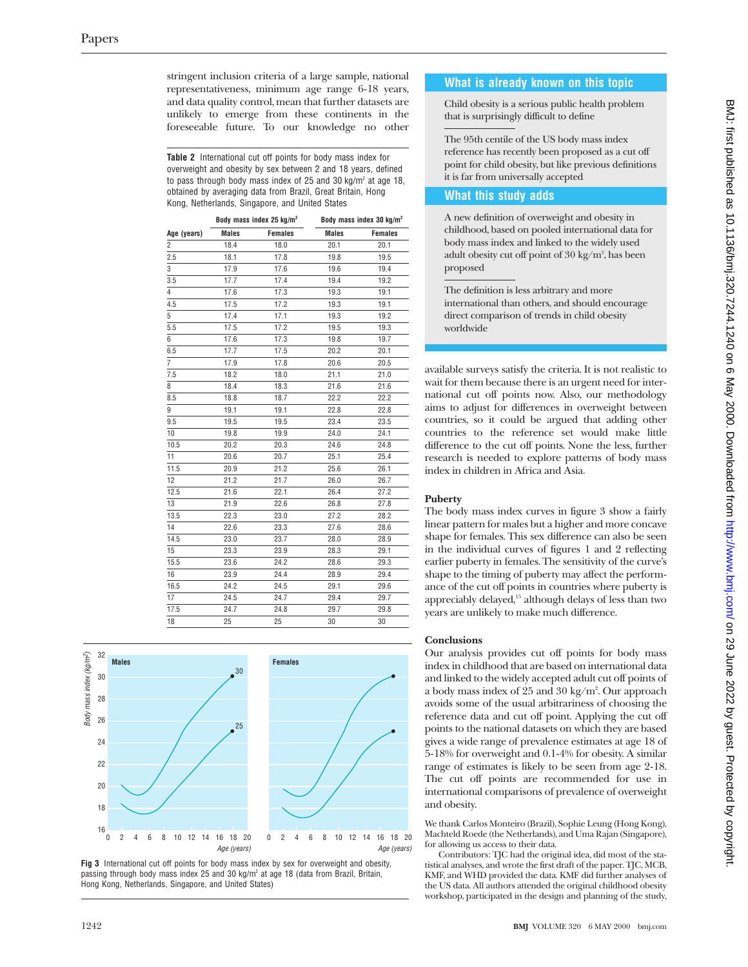stringent inclusion criteria of a large sample, national representativeness, minimum age range 6-18 years, and data quality control, mean that further datasets are unlikely to emerge from these continents in the foreseeable future. To our knowledge no other

**Table 2** International cut off points for body mass index for overweight and obesity by sex between 2 and 18 years, defined to pass through body mass index of 25 and 30 kg/m<sup>2</sup> at age 18, obtained by averaging data from Brazil, Great Britain, Hong Kong, Netherlands, Singapore, and United States

|                |              | Body mass index 25 kg/m <sup>2</sup> | Body mass index 30 kg/m <sup>2</sup> |                |  |
|----------------|--------------|--------------------------------------|--------------------------------------|----------------|--|
| Age (years)    | <b>Males</b> | <b>Females</b>                       | <b>Males</b>                         | <b>Females</b> |  |
| $\overline{2}$ | 18.4         | 18.0                                 | 20.1                                 | 20.1           |  |
| 2.5            | 18.1         | 17.8                                 | 19.8                                 | 19.5           |  |
| 3              | 17.9         | 17.6                                 | 19.6                                 | 19.4           |  |
| 3.5            | 17.7         | 17.4                                 | 19.4                                 | 19.2           |  |
| 4              | 17.6         | 17.3                                 | 19.3                                 | 19.1           |  |
| 4.5            | 17.5         | 17.2                                 | 19.3                                 | 19.1           |  |
| 5              | 17.4         | 17.1                                 | 19.3                                 | 19.2           |  |
| 5.5            | 17.5         | 17.2                                 | 19.5                                 | 19.3           |  |
| 6              | 17.6         | 17.3                                 | 19.8                                 | 19.7           |  |
| 6.5            | 17.7         | 17.5                                 | 20.2                                 | 20.1           |  |
| $\overline{7}$ | 17.9         | 17.8                                 | 20.6                                 | 20.5           |  |
| 7.5            | 18.2         | 18.0                                 | 21.1                                 | 21.0           |  |
| 8              | 18.4         | 18.3                                 | 21.6                                 | 21.6           |  |
| 8.5            | 18.8         | 18.7                                 | 22.2                                 | 22.2           |  |
| 9              | 19.1         | 19.1                                 | 22.8                                 | 22.8           |  |
| 9.5            | 19.5         | 19.5                                 | 23.4                                 | 23.5           |  |
| 10             | 19.8         | 19.9                                 | 24.0                                 | 24.1           |  |
| 10.5           | 20.2         | 20.3                                 | 24.6                                 | 24.8           |  |
| 11             | 20.6         | 20.7                                 | 25.1                                 | 25.4           |  |
| 11.5           | 20.9         | 21.2                                 | 25.6                                 | 26.1           |  |
| 12             | 21.2         | 21.7                                 | 26.0                                 | 26.7           |  |
| 12.5           | 21.6         | 22.1                                 | 26.4                                 | 27.2           |  |
| 13             | 21.9         | 22.6                                 | 26.8                                 | 27.8           |  |
| 13.5           | 22.3         | 23.0                                 | 27.2                                 | 28.2           |  |
| 14             | 22.6         | 23.3                                 | 27.6                                 | 28.6           |  |
| 14.5           | 23.0         | 23.7                                 | 28.0                                 | 28.9           |  |
| 15             | 23.3         | 23.9                                 | 28.3                                 | 29.1           |  |
| 15.5           | 23.6         | 24.2                                 | 28.6                                 | 29.3           |  |
| 16             | 23.9         | 24.4                                 | 28.9                                 | 29.4           |  |
| 16.5           | 24.2         | 24.5                                 | 29.1                                 | 29.6           |  |
| 17             | 24.5         | 24.7                                 | 29.4                                 | 29.7           |  |
| 17.5           | 24.7         | 24.8                                 | 29.7                                 | 29.8           |  |
| 18             | 25           | 25                                   | 30                                   | 30             |  |



**Fig 3** International cut off points for body mass index by sex for overweight and obesity, passing through body mass index 25 and 30 kg/m2 at age 18 (data from Brazil, Britain, Hong Kong, Netherlands, Singapore, and United States)

## **What is already known on this topic**

Child obesity is a serious public health problem that is surprisingly difficult to define

The 95th centile of the US body mass index reference has recently been proposed as a cut off point for child obesity, but like previous definitions it is far from universally accepted

## **What this study adds**

A new definition of overweight and obesity in childhood, based on pooled international data for body mass index and linked to the widely used adult obesity cut off point of 30 kg/m², has been proposed

The definition is less arbitrary and more international than others, and should encourage direct comparison of trends in child obesity worldwide

available surveys satisfy the criteria. It is not realistic to wait for them because there is an urgent need for international cut off points now. Also, our methodology aims to adjust for differences in overweight between countries, so it could be argued that adding other countries to the reference set would make little difference to the cut off points. None the less, further research is needed to explore patterns of body mass index in children in Africa and Asia.

## **Puberty**

The body mass index curves in figure 3 show a fairly linear pattern for males but a higher and more concave shape for females. This sex difference can also be seen in the individual curves of figures 1 and 2 reflecting earlier puberty in females. The sensitivity of the curve's shape to the timing of puberty may affect the performance of the cut off points in countries where puberty is appreciably delayed,15 although delays of less than two years are unlikely to make much difference.

## **Conclusions**

Our analysis provides cut off points for body mass index in childhood that are based on international data and linked to the widely accepted adult cut off points of a body mass index of 25 and 30 kg/m $^2$ . Our approach avoids some of the usual arbitrariness of choosing the reference data and cut off point. Applying the cut off points to the national datasets on which they are based gives a wide range of prevalence estimates at age 18 of 5-18% for overweight and 0.1-4% for obesity. A similar range of estimates is likely to be seen from age 2-18. The cut off points are recommended for use in international comparisons of prevalence of overweight and obesity.

We thank Carlos Monteiro (Brazil), Sophie Leung (Hong Kong), Machteld Roede (the Netherlands), and Uma Rajan (Singapore), for allowing us access to their data.

Contributors: TJC had the original idea, did most of the statistical analyses, and wrote the first draft of the paper. TJC, MCB, KMF, and WHD provided the data. KMF did further analyses of the US data. All authors attended the original childhood obesity workshop, participated in the design and planning of the study,